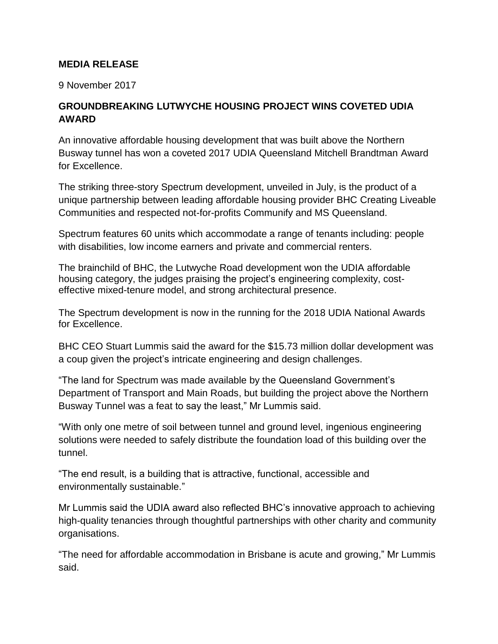## **MEDIA RELEASE**

9 November 2017

## **GROUNDBREAKING LUTWYCHE HOUSING PROJECT WINS COVETED UDIA AWARD**

An innovative affordable housing development that was built above the Northern Busway tunnel has won a coveted 2017 UDIA Queensland Mitchell Brandtman Award for Excellence.

The striking three-story Spectrum development, unveiled in July, is the product of a unique partnership between leading affordable housing provider BHC Creating Liveable Communities and respected not-for-profits Communify and MS Queensland.

Spectrum features 60 units which accommodate a range of tenants including: people with disabilities, low income earners and private and commercial renters.

The brainchild of BHC, the Lutwyche Road development won the UDIA affordable housing category, the judges praising the project's engineering complexity, costeffective mixed-tenure model, and strong architectural presence.

The Spectrum development is now in the running for the 2018 UDIA National Awards for Excellence.

BHC CEO Stuart Lummis said the award for the \$15.73 million dollar development was a coup given the project's intricate engineering and design challenges.

"The land for Spectrum was made available by the Queensland Government's Department of Transport and Main Roads, but building the project above the Northern Busway Tunnel was a feat to say the least," Mr Lummis said.

"With only one metre of soil between tunnel and ground level, ingenious engineering solutions were needed to safely distribute the foundation load of this building over the tunnel.

"The end result, is a building that is attractive, functional, accessible and environmentally sustainable."

Mr Lummis said the UDIA award also reflected BHC's innovative approach to achieving high-quality tenancies through thoughtful partnerships with other charity and community organisations.

"The need for affordable accommodation in Brisbane is acute and growing," Mr Lummis said.